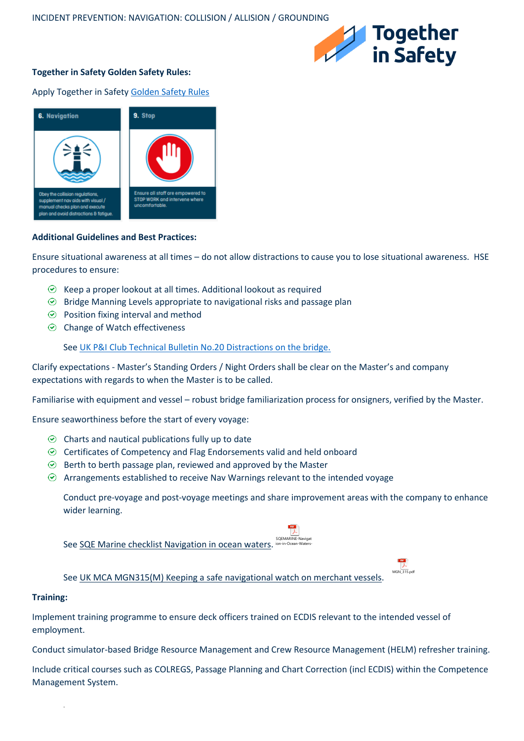

 $MGN$  315.pdf

# **Together in Safety Golden Safety Rules:**

Apply Together in Safet[y Golden Safety Rules](https://togetherinsafety.info/wp-content/uploads/2020/07/Golden-Safety-Rules.pdf)



## **Additional Guidelines and Best Practices:**

Ensure situational awareness at all times – do not allow distractions to cause you to lose situational awareness. HSE procedures to ensure:

- $\odot$  Keep a proper lookout at all times. Additional lookout as required
- $\odot$  Bridge Manning Levels appropriate to navigational risks and passage plan
- $\odot$  Position fixing interval and method
- $\odot$  Change of Watch effectiveness

## Se[e UK P&I Club Technical Bulletin No.20 Distractions on the bridge.](https://www.ukpandi.com/-/media/files/imports/13108/bulletins/3519---tchb20.pdf)

Clarify expectations - Master's Standing Orders / Night Orders shall be clear on the Master's and company expectations with regards to when the Master is to be called.

Familiarise with equipment and vessel – robust bridge familiarization process for onsigners, verified by the Master.

Ensure seaworthiness before the start of every voyage:

- $\odot$  Charts and nautical publications fully up to date
- $\odot$  Certificates of Competency and Flag Endorsements valid and held onboard
- $\odot$  Berth to berth passage plan, reviewed and approved by the Master
- $\odot$  Arrangements established to receive Nav Warnings relevant to the intended voyage

Conduct pre-voyage and post-voyage meetings and share improvement areas with the company to enhance wider learning.

See SQE Marine checklist Navigation in ocean waters. COEMARINE-N ion-in-Ocean-Waters-

## See UK MCA MGN315(M) Keeping a safe navigational watch on merchant vessels.

#### **Training:**

.

Implement training programme to ensure deck officers trained on ECDIS relevant to the intended vessel of employment.

Conduct simulator-based Bridge Resource Management and Crew Resource Management (HELM) refresher training.

Include critical courses such as COLREGS, Passage Planning and Chart Correction (incl ECDIS) within the Competence Management System.